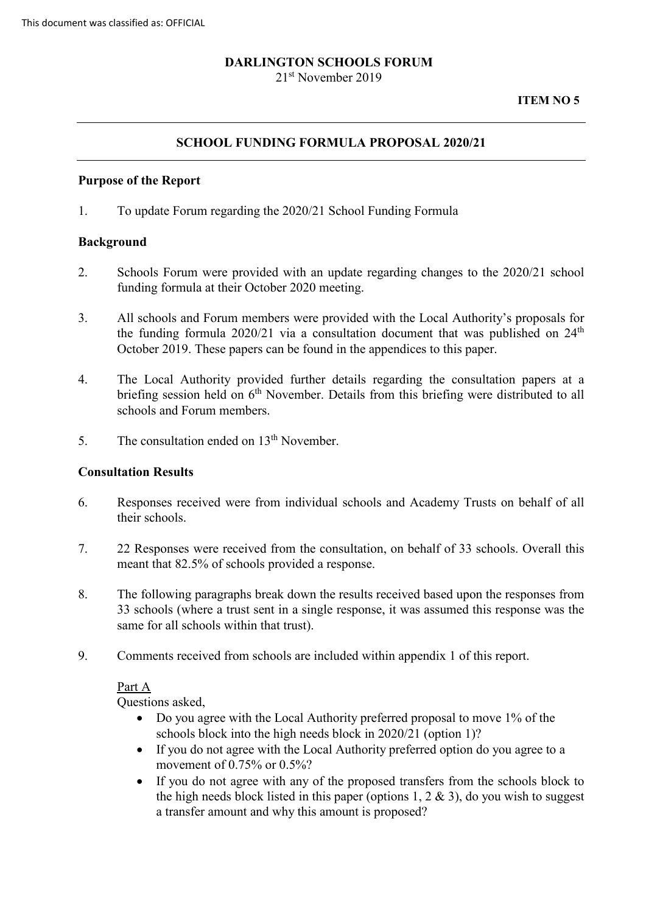# **DARLINGTON SCHOOLS FORUM**

21<sup>st</sup> November 2019

## **SCHOOL FUNDING FORMULA PROPOSAL 2020/21**

#### **Purpose of the Report**

1. To update Forum regarding the 2020/21 School Funding Formula

### **Background**

- 2. Schools Forum were provided with an update regarding changes to the 2020/21 school funding formula at their October 2020 meeting.
- 3. All schools and Forum members were provided with the Local Authority's proposals for the funding formula  $2020/21$  via a consultation document that was published on  $24<sup>th</sup>$ October 2019. These papers can be found in the appendices to this paper.
- 4. The Local Authority provided further details regarding the consultation papers at a briefing session held on 6<sup>th</sup> November. Details from this briefing were distributed to all schools and Forum members.
- 5. The consultation ended on  $13<sup>th</sup>$  November.

### **Consultation Results**

- 6. Responses received were from individual schools and Academy Trusts on behalf of all their schools.
- 7. 22 Responses were received from the consultation, on behalf of 33 schools. Overall this meant that 82.5% of schools provided a response.
- 8. The following paragraphs break down the results received based upon the responses from 33 schools (where a trust sent in a single response, it was assumed this response was the same for all schools within that trust).
- 9. Comments received from schools are included within appendix 1 of this report.

### Part A

Questions asked,

- Do you agree with the Local Authority preferred proposal to move 1% of the schools block into the high needs block in 2020/21 (option 1)?
- If you do not agree with the Local Authority preferred option do you agree to a movement of 0.75% or 0.5%?
- If you do not agree with any of the proposed transfers from the schools block to the high needs block listed in this paper (options  $1, 2 \& 3$ ), do you wish to suggest a transfer amount and why this amount is proposed?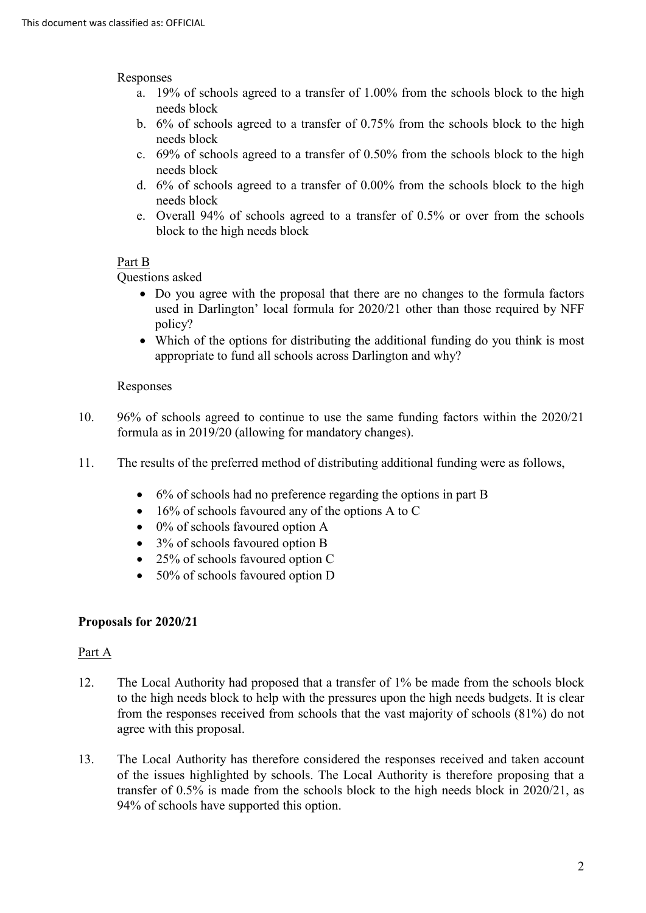### Responses

- a. 19% of schools agreed to a transfer of 1.00% from the schools block to the high needs block
- b. 6% of schools agreed to a transfer of 0.75% from the schools block to the high needs block
- c. 69% of schools agreed to a transfer of 0.50% from the schools block to the high needs block
- d. 6% of schools agreed to a transfer of 0.00% from the schools block to the high needs block
- e. Overall 94% of schools agreed to a transfer of 0.5% or over from the schools block to the high needs block

# Part B

Questions asked

- Do you agree with the proposal that there are no changes to the formula factors used in Darlington' local formula for 2020/21 other than those required by NFF policy?
- Which of the options for distributing the additional funding do you think is most appropriate to fund all schools across Darlington and why?

### Responses

- 10. 96% of schools agreed to continue to use the same funding factors within the 2020/21 formula as in 2019/20 (allowing for mandatory changes).
- 11. The results of the preferred method of distributing additional funding were as follows,
	- 6% of schools had no preference regarding the options in part B
	- 16% of schools favoured any of the options A to C
	- 0% of schools favoured option A
	- 3% of schools favoured option B
	- 25% of schools favoured option C
	- 50% of schools favoured option D

# **Proposals for 2020/21**

# Part A

- 12. The Local Authority had proposed that a transfer of 1% be made from the schools block to the high needs block to help with the pressures upon the high needs budgets. It is clear from the responses received from schools that the vast majority of schools (81%) do not agree with this proposal.
- 13. The Local Authority has therefore considered the responses received and taken account of the issues highlighted by schools. The Local Authority is therefore proposing that a transfer of 0.5% is made from the schools block to the high needs block in 2020/21, as 94% of schools have supported this option.